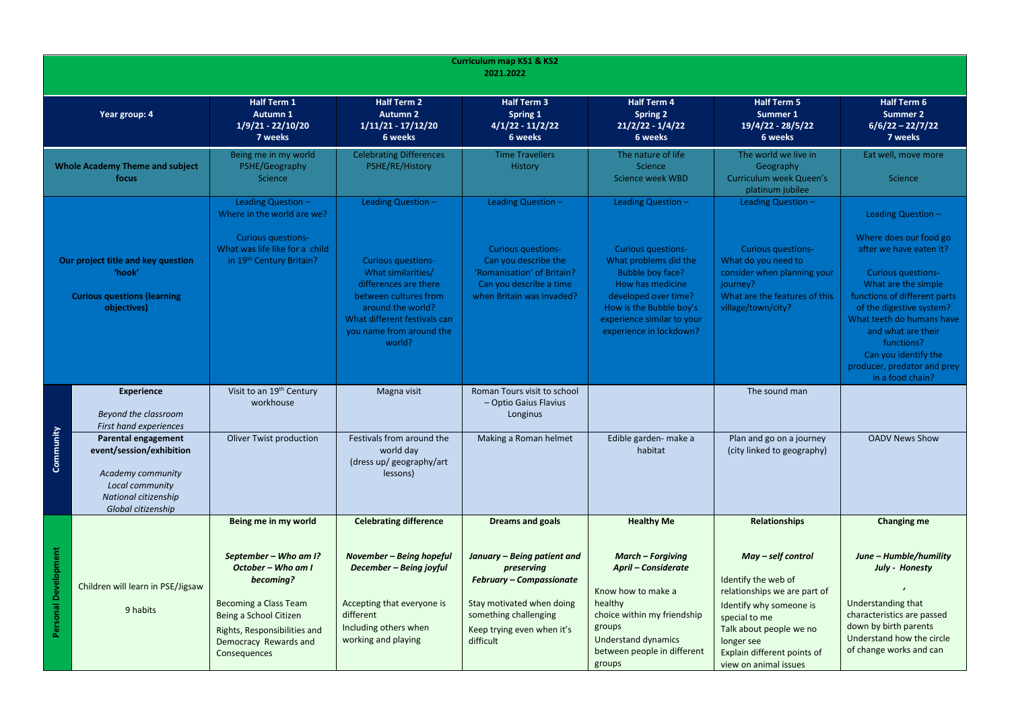|                                                                                                   | <b>Curriculum map KS1 &amp; KS2</b><br>2021.2022                                                                                      |                                                                                                                                                                                                              |                                                                                                                                                                                                                    |                                                                                                                                                                                                          |                                                                                                                                                                                                                              |                                                                                                                                                                                                                                                |                                                                                                                                                                                                                                                                                                                                     |  |  |
|---------------------------------------------------------------------------------------------------|---------------------------------------------------------------------------------------------------------------------------------------|--------------------------------------------------------------------------------------------------------------------------------------------------------------------------------------------------------------|--------------------------------------------------------------------------------------------------------------------------------------------------------------------------------------------------------------------|----------------------------------------------------------------------------------------------------------------------------------------------------------------------------------------------------------|------------------------------------------------------------------------------------------------------------------------------------------------------------------------------------------------------------------------------|------------------------------------------------------------------------------------------------------------------------------------------------------------------------------------------------------------------------------------------------|-------------------------------------------------------------------------------------------------------------------------------------------------------------------------------------------------------------------------------------------------------------------------------------------------------------------------------------|--|--|
|                                                                                                   | Year group: 4                                                                                                                         | <b>Half Term 1</b><br>Autumn 1<br>$1/9/21 - 22/10/20$<br>7 weeks                                                                                                                                             | <b>Half Term 2</b><br><b>Autumn 2</b><br>$1/11/21 - 17/12/20$<br>6 weeks                                                                                                                                           | <b>Half Term 3</b><br>Spring 1<br>$4/1/22 - 11/2/22$<br>6 weeks                                                                                                                                          | <b>Half Term 4</b><br><b>Spring 2</b><br>$21/2/22 - 1/4/22$<br>6 weeks                                                                                                                                                       | <b>Half Term 5</b><br>Summer 1<br>19/4/22 - 28/5/22<br>6 weeks                                                                                                                                                                                 | Half Term 6<br><b>Summer 2</b><br>$6/6/22 - 22/7/22$<br>7 weeks                                                                                                                                                                                                                                                                     |  |  |
| <b>Whole Academy Theme and subject</b><br>focus                                                   |                                                                                                                                       | Being me in my world<br>PSHE/Geography<br><b>Science</b>                                                                                                                                                     | <b>Celebrating Differences</b><br>PSHE/RE/History                                                                                                                                                                  | <b>Time Travellers</b><br>History                                                                                                                                                                        | The nature of life<br>Science<br><b>Science week WBD</b>                                                                                                                                                                     | The world we live in<br>Geography<br>Curriculum week Queen's<br>platinum jubilee                                                                                                                                                               | Eat well, move more<br><b>Science</b>                                                                                                                                                                                                                                                                                               |  |  |
| Our project title and key question<br>'hook'<br><b>Curious questions (learning</b><br>objectives) |                                                                                                                                       | Leading Question -<br>Where in the world are we?<br><b>Curious questions-</b><br>What was life like for a child<br>in 19th Century Britain?                                                                  | Leading Question -<br><b>Curious questions-</b><br>What similarities/<br>differences are there<br>between cultures from<br>around the world?<br>What different festivals can<br>you name from around the<br>world? | Leading Question -<br><b>Curious questions-</b><br>Can you describe the<br>'Romanisation' of Britain?<br>Can you describe a time<br>when Britain was invaded?                                            | Leading Question -<br><b>Curious questions-</b><br>What problems did the<br>Bubble boy face?<br>How has medicine<br>developed over time?<br>How is the Bubble boy's<br>experience similar to your<br>experience in lockdown? | Leading Question -<br><b>Curious questions-</b><br>What do you need to<br>consider when planning your<br>journey?<br>What are the features of this<br>village/town/city?                                                                       | Leading Question -<br>Where does our food go<br>after we have eaten it?<br><b>Curious questions-</b><br>What are the simple<br>functions of different parts<br>of the digestive system?<br>What teeth do humans have<br>and what are their<br>functions?<br>Can you identify the<br>producer, predator and prey<br>in a food chain? |  |  |
|                                                                                                   | <b>Experience</b><br>Beyond the classroom<br><b>First hand experiences</b>                                                            | Visit to an 19th Century<br>workhouse                                                                                                                                                                        | Magna visit                                                                                                                                                                                                        | Roman Tours visit to school<br>- Optio Gaius Flavius<br>Longinus                                                                                                                                         |                                                                                                                                                                                                                              | The sound man                                                                                                                                                                                                                                  |                                                                                                                                                                                                                                                                                                                                     |  |  |
| Community                                                                                         | Parental engagement<br>event/session/exhibition<br>Academy community<br>Local community<br>National citizenship<br>Global citizenship | <b>Oliver Twist production</b>                                                                                                                                                                               | Festivals from around the<br>world day<br>(dress up/ geography/art<br>lessons)                                                                                                                                     | Making a Roman helmet                                                                                                                                                                                    | Edible garden- make a<br>habitat                                                                                                                                                                                             | Plan and go on a journey<br>(city linked to geography)                                                                                                                                                                                         | <b>OADV News Show</b>                                                                                                                                                                                                                                                                                                               |  |  |
| <b>Personal Development</b>                                                                       | Children will learn in PSE/Jigsaw<br>9 habits                                                                                         | Being me in my world<br>September - Who am I?<br>October - Who am I<br>becoming?<br>Becoming a Class Team<br>Being a School Citizen<br>Rights, Responsibilities and<br>Democracy Rewards and<br>Consequences | <b>Celebrating difference</b><br>November - Being hopeful<br>December - Being joyful<br>Accepting that everyone is<br>different<br>Including others when<br>working and playing                                    | <b>Dreams and goals</b><br>January - Being patient and<br>preserving<br><b>February - Compassionate</b><br>Stay motivated when doing<br>something challenging<br>Keep trying even when it's<br>difficult | <b>Healthy Me</b><br><b>March - Forgiving</b><br><b>April - Considerate</b><br>Know how to make a<br>healthy<br>choice within my friendship<br>groups<br><b>Understand dynamics</b><br>between people in different<br>groups | <b>Relationships</b><br>May - self control<br>Identify the web of<br>relationships we are part of<br>Identify why someone is<br>special to me<br>Talk about people we no<br>longer see<br>Explain different points of<br>view on animal issues | <b>Changing me</b><br>June - Humble/humility<br>July - Honesty<br>Understanding that<br>characteristics are passed<br>down by birth parents<br>Understand how the circle<br>of change works and can                                                                                                                                 |  |  |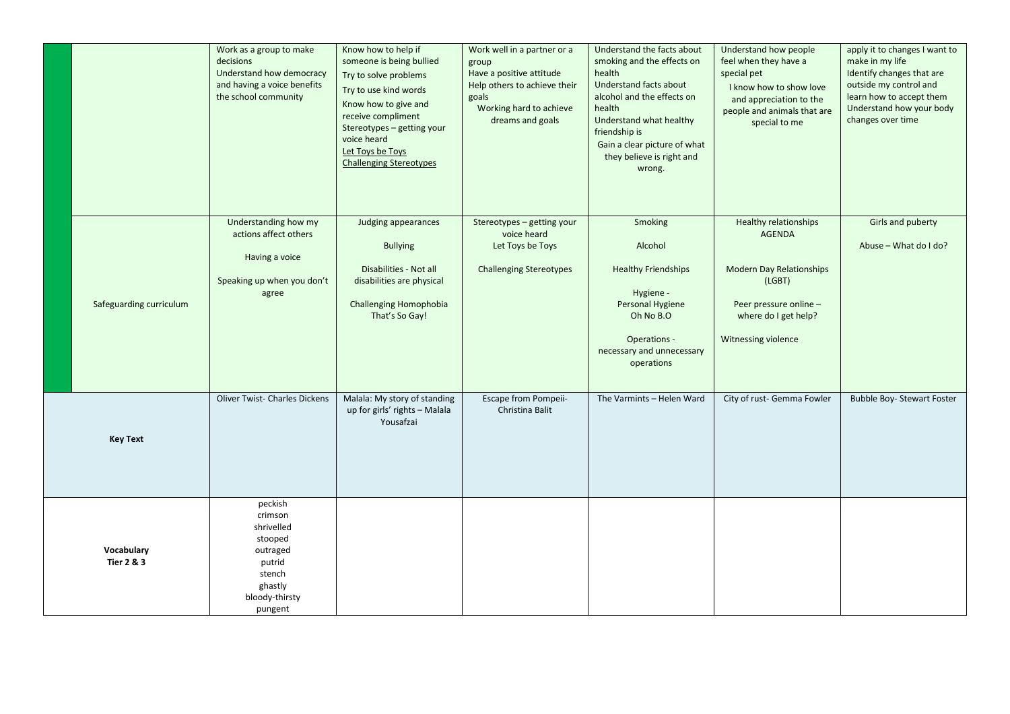|                                     | Work as a group to make<br>decisions<br>Understand how democracy<br>and having a voice benefits<br>the school community | Know how to help if<br>someone is being bullied<br>Try to solve problems<br>Try to use kind words<br>Know how to give and<br>receive compliment<br>Stereotypes - getting your<br>voice heard<br>Let Toys be Toys<br><b>Challenging Stereotypes</b> | Work well in a partner or a<br>group<br>Have a positive attitude<br>Help others to achieve their<br>goals<br>Working hard to achieve<br>dreams and goals | Understand the facts about<br>smoking and the effects on<br>health<br>Understand facts about<br>alcohol and the effects on<br>health<br>Understand what healthy<br>friendship is<br>Gain a clear picture of what<br>they believe is right and<br>wrong. | Understand how people<br>feel when they have a<br>special pet<br>I know how to show love<br>and appreciation to the<br>people and animals that are<br>special to me | apply it to changes I want to<br>make in my life<br>Identify changes that are<br>outside my control and<br>learn how to accept them<br>Understand how your body<br>changes over time |
|-------------------------------------|-------------------------------------------------------------------------------------------------------------------------|----------------------------------------------------------------------------------------------------------------------------------------------------------------------------------------------------------------------------------------------------|----------------------------------------------------------------------------------------------------------------------------------------------------------|---------------------------------------------------------------------------------------------------------------------------------------------------------------------------------------------------------------------------------------------------------|---------------------------------------------------------------------------------------------------------------------------------------------------------------------|--------------------------------------------------------------------------------------------------------------------------------------------------------------------------------------|
| Safeguarding curriculum             | Understanding how my<br>actions affect others<br>Having a voice<br>Speaking up when you don't<br>agree                  | Judging appearances<br><b>Bullying</b><br>Disabilities - Not all<br>disabilities are physical<br>Challenging Homophobia<br>That's So Gay!                                                                                                          | Stereotypes - getting your<br>voice heard<br>Let Toys be Toys<br><b>Challenging Stereotypes</b>                                                          | Smoking<br>Alcohol<br><b>Healthy Friendships</b><br>Hygiene -<br>Personal Hygiene<br>Oh No B.O<br>Operations -<br>necessary and unnecessary<br>operations                                                                                               | <b>Healthy relationships</b><br><b>AGENDA</b><br><b>Modern Day Relationships</b><br>(LGBT)<br>Peer pressure online -<br>where do I get help?<br>Witnessing violence | Girls and puberty<br>Abuse - What do I do?                                                                                                                                           |
| <b>Key Text</b>                     | Oliver Twist- Charles Dickens                                                                                           | Malala: My story of standing<br>up for girls' rights - Malala<br>Yousafzai                                                                                                                                                                         | Escape from Pompeii-<br>Christina Balit                                                                                                                  | The Varmints - Helen Ward                                                                                                                                                                                                                               | City of rust- Gemma Fowler                                                                                                                                          | Bubble Boy- Stewart Foster                                                                                                                                                           |
| Vocabulary<br><b>Tier 2 &amp; 3</b> | peckish<br>crimson<br>shrivelled<br>stooped<br>outraged<br>putrid<br>stench<br>ghastly<br>bloody-thirsty<br>pungent     |                                                                                                                                                                                                                                                    |                                                                                                                                                          |                                                                                                                                                                                                                                                         |                                                                                                                                                                     |                                                                                                                                                                                      |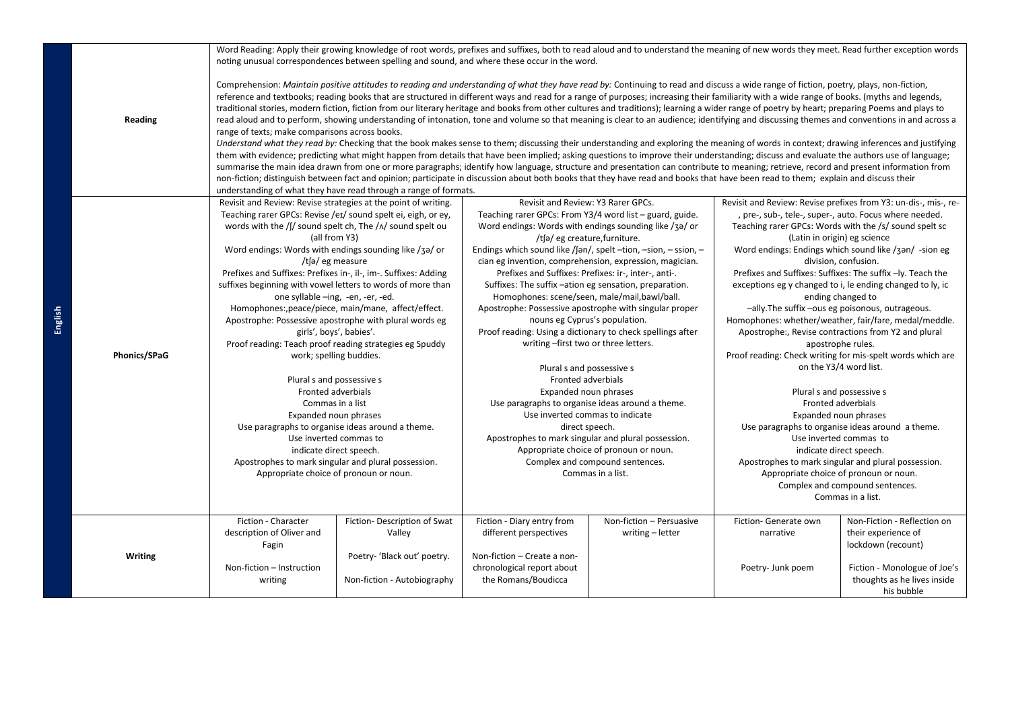|                | Word Reading: Apply their growing knowledge of root words, prefixes and suffixes, both to read aloud and to understand the meaning of new words they meet. Read further exception words                                                                                                                                                                                                                                                                                                                                                                                                                                                                                                                                                                                                                                                                                                                                                                                                                                              |                                                                  |                                                                                                                |                                                                               |                                                                                                                                                                                          |                                                                                      |  |  |
|----------------|--------------------------------------------------------------------------------------------------------------------------------------------------------------------------------------------------------------------------------------------------------------------------------------------------------------------------------------------------------------------------------------------------------------------------------------------------------------------------------------------------------------------------------------------------------------------------------------------------------------------------------------------------------------------------------------------------------------------------------------------------------------------------------------------------------------------------------------------------------------------------------------------------------------------------------------------------------------------------------------------------------------------------------------|------------------------------------------------------------------|----------------------------------------------------------------------------------------------------------------|-------------------------------------------------------------------------------|------------------------------------------------------------------------------------------------------------------------------------------------------------------------------------------|--------------------------------------------------------------------------------------|--|--|
|                | noting unusual correspondences between spelling and sound, and where these occur in the word.                                                                                                                                                                                                                                                                                                                                                                                                                                                                                                                                                                                                                                                                                                                                                                                                                                                                                                                                        |                                                                  |                                                                                                                |                                                                               |                                                                                                                                                                                          |                                                                                      |  |  |
| <b>Reading</b> | Comprehension: Maintain positive attitudes to reading and understanding of what they have read by: Continuing to read and discuss a wide range of fiction, poetry, plays, non-fiction,<br>reference and textbooks; reading books that are structured in different ways and read for a range of purposes; increasing their familiarity with a wide range of books. (myths and legends,<br>traditional stories, modern fiction, fiction from our literary heritage and books from other cultures and traditions); learning a wider range of poetry by heart; preparing Poems and plays to<br>read aloud and to perform, showing understanding of intonation, tone and volume so that meaning is clear to an audience; identifying and discussing themes and conventions in and across a<br>range of texts; make comparisons across books.<br>Understand what they read by: Checking that the book makes sense to them; discussing their understanding and exploring the meaning of words in context; drawing inferences and justifying |                                                                  |                                                                                                                |                                                                               |                                                                                                                                                                                          |                                                                                      |  |  |
|                |                                                                                                                                                                                                                                                                                                                                                                                                                                                                                                                                                                                                                                                                                                                                                                                                                                                                                                                                                                                                                                      |                                                                  |                                                                                                                |                                                                               | them with evidence; predicting what might happen from details that have been implied; asking questions to improve their understanding; discuss and evaluate the authors use of language; |                                                                                      |  |  |
|                |                                                                                                                                                                                                                                                                                                                                                                                                                                                                                                                                                                                                                                                                                                                                                                                                                                                                                                                                                                                                                                      |                                                                  |                                                                                                                |                                                                               | summarise the main idea drawn from one or more paragraphs; identify how language, structure and presentation can contribute to meaning; retrieve, record and present information from    |                                                                                      |  |  |
|                | non-fiction; distinguish between fact and opinion; participate in discussion about both books that they have read and books that have been read to them; explain and discuss their                                                                                                                                                                                                                                                                                                                                                                                                                                                                                                                                                                                                                                                                                                                                                                                                                                                   |                                                                  |                                                                                                                |                                                                               |                                                                                                                                                                                          |                                                                                      |  |  |
|                |                                                                                                                                                                                                                                                                                                                                                                                                                                                                                                                                                                                                                                                                                                                                                                                                                                                                                                                                                                                                                                      | understanding of what they have read through a range of formats. |                                                                                                                |                                                                               |                                                                                                                                                                                          |                                                                                      |  |  |
|                | Revisit and Review: Revise strategies at the point of writing.                                                                                                                                                                                                                                                                                                                                                                                                                                                                                                                                                                                                                                                                                                                                                                                                                                                                                                                                                                       |                                                                  | Revisit and Review: Y3 Rarer GPCs.                                                                             |                                                                               |                                                                                                                                                                                          | Revisit and Review: Revise prefixes from Y3: un-dis-, mis-, re-                      |  |  |
|                | Teaching rarer GPCs: Revise /eɪ/ sound spelt ei, eigh, or ey,<br>words with the /ʃ/ sound spelt ch, The /ʌ/ sound spelt ou                                                                                                                                                                                                                                                                                                                                                                                                                                                                                                                                                                                                                                                                                                                                                                                                                                                                                                           |                                                                  | Word endings: Words with endings sounding like /3a/ or                                                         | Teaching rarer GPCs: From Y3/4 word list – guard, guide.                      |                                                                                                                                                                                          | , pre-, sub-, tele-, super-, auto. Focus where needed.                               |  |  |
|                | (all from Y3)                                                                                                                                                                                                                                                                                                                                                                                                                                                                                                                                                                                                                                                                                                                                                                                                                                                                                                                                                                                                                        |                                                                  | /t[ə/ eg creature, furniture.                                                                                  |                                                                               | Teaching rarer GPCs: Words with the /s/ sound spelt sc<br>(Latin in origin) eg science                                                                                                   |                                                                                      |  |  |
|                | Word endings: Words with endings sounding like /3a/ or                                                                                                                                                                                                                                                                                                                                                                                                                                                                                                                                                                                                                                                                                                                                                                                                                                                                                                                                                                               |                                                                  |                                                                                                                | Endings which sound like / $\frac{1}{2}$ (an/, spelt -tion, -sion, - ssion, - |                                                                                                                                                                                          | Word endings: Endings which sound like /3an/ -sion eg                                |  |  |
|                | /t[ə/ eg measure                                                                                                                                                                                                                                                                                                                                                                                                                                                                                                                                                                                                                                                                                                                                                                                                                                                                                                                                                                                                                     |                                                                  | cian eg invention, comprehension, expression, magician.                                                        |                                                                               | division, confusion.                                                                                                                                                                     |                                                                                      |  |  |
|                | Prefixes and Suffixes: Prefixes in-, il-, im-. Suffixes: Adding<br>suffixes beginning with vowel letters to words of more than                                                                                                                                                                                                                                                                                                                                                                                                                                                                                                                                                                                                                                                                                                                                                                                                                                                                                                       |                                                                  | Prefixes and Suffixes: Prefixes: ir-, inter-, anti-.<br>Suffixes: The suffix -ation eg sensation, preparation. |                                                                               | Prefixes and Suffixes: Suffixes: The suffix -ly. Teach the<br>exceptions eg y changed to i, le ending changed to ly, ic                                                                  |                                                                                      |  |  |
|                |                                                                                                                                                                                                                                                                                                                                                                                                                                                                                                                                                                                                                                                                                                                                                                                                                                                                                                                                                                                                                                      | one syllable -ing, -en, -er, -ed.                                |                                                                                                                | Homophones: scene/seen, male/mail,bawl/ball.                                  |                                                                                                                                                                                          | ending changed to                                                                    |  |  |
|                | Homophones:, peace/piece, main/mane, affect/effect.                                                                                                                                                                                                                                                                                                                                                                                                                                                                                                                                                                                                                                                                                                                                                                                                                                                                                                                                                                                  |                                                                  | Apostrophe: Possessive apostrophe with singular proper                                                         |                                                                               | -ally. The suffix -ous eg poisonous, outrageous.                                                                                                                                         |                                                                                      |  |  |
|                | Apostrophe: Possessive apostrophe with plural words eg                                                                                                                                                                                                                                                                                                                                                                                                                                                                                                                                                                                                                                                                                                                                                                                                                                                                                                                                                                               |                                                                  | nouns eg Cyprus's population.                                                                                  |                                                                               | Homophones: whether/weather, fair/fare, medal/meddle.                                                                                                                                    |                                                                                      |  |  |
|                | girls', boys', babies'.                                                                                                                                                                                                                                                                                                                                                                                                                                                                                                                                                                                                                                                                                                                                                                                                                                                                                                                                                                                                              |                                                                  | Proof reading: Using a dictionary to check spellings after                                                     |                                                                               |                                                                                                                                                                                          | Apostrophe:, Revise contractions from Y2 and plural                                  |  |  |
|                |                                                                                                                                                                                                                                                                                                                                                                                                                                                                                                                                                                                                                                                                                                                                                                                                                                                                                                                                                                                                                                      | Proof reading: Teach proof reading strategies eg Spuddy          |                                                                                                                | writing -first two or three letters.                                          |                                                                                                                                                                                          | apostrophe rules.                                                                    |  |  |
| Phonics/SPaG   | work; spelling buddies.                                                                                                                                                                                                                                                                                                                                                                                                                                                                                                                                                                                                                                                                                                                                                                                                                                                                                                                                                                                                              |                                                                  | Plural s and possessive s                                                                                      |                                                                               |                                                                                                                                                                                          | Proof reading: Check writing for mis-spelt words which are<br>on the Y3/4 word list. |  |  |
|                | Plural s and possessive s                                                                                                                                                                                                                                                                                                                                                                                                                                                                                                                                                                                                                                                                                                                                                                                                                                                                                                                                                                                                            |                                                                  | Fronted adverbials                                                                                             |                                                                               |                                                                                                                                                                                          |                                                                                      |  |  |
|                | Fronted adverbials                                                                                                                                                                                                                                                                                                                                                                                                                                                                                                                                                                                                                                                                                                                                                                                                                                                                                                                                                                                                                   |                                                                  | Expanded noun phrases                                                                                          |                                                                               |                                                                                                                                                                                          | Plural s and possessive s                                                            |  |  |
|                | Commas in a list                                                                                                                                                                                                                                                                                                                                                                                                                                                                                                                                                                                                                                                                                                                                                                                                                                                                                                                                                                                                                     |                                                                  | Use paragraphs to organise ideas around a theme.                                                               |                                                                               |                                                                                                                                                                                          | Fronted adverbials                                                                   |  |  |
|                | Expanded noun phrases                                                                                                                                                                                                                                                                                                                                                                                                                                                                                                                                                                                                                                                                                                                                                                                                                                                                                                                                                                                                                |                                                                  | Use inverted commas to indicate                                                                                |                                                                               | Expanded noun phrases                                                                                                                                                                    |                                                                                      |  |  |
|                | Use paragraphs to organise ideas around a theme.<br>Use inverted commas to                                                                                                                                                                                                                                                                                                                                                                                                                                                                                                                                                                                                                                                                                                                                                                                                                                                                                                                                                           |                                                                  | direct speech.<br>Apostrophes to mark singular and plural possession.                                          |                                                                               | Use paragraphs to organise ideas around a theme.<br>Use inverted commas to                                                                                                               |                                                                                      |  |  |
|                | indicate direct speech.                                                                                                                                                                                                                                                                                                                                                                                                                                                                                                                                                                                                                                                                                                                                                                                                                                                                                                                                                                                                              |                                                                  | Appropriate choice of pronoun or noun.                                                                         |                                                                               | indicate direct speech.                                                                                                                                                                  |                                                                                      |  |  |
|                | Apostrophes to mark singular and plural possession.                                                                                                                                                                                                                                                                                                                                                                                                                                                                                                                                                                                                                                                                                                                                                                                                                                                                                                                                                                                  |                                                                  | Complex and compound sentences.                                                                                |                                                                               | Apostrophes to mark singular and plural possession.                                                                                                                                      |                                                                                      |  |  |
|                | Appropriate choice of pronoun or noun.                                                                                                                                                                                                                                                                                                                                                                                                                                                                                                                                                                                                                                                                                                                                                                                                                                                                                                                                                                                               |                                                                  | Commas in a list.                                                                                              |                                                                               |                                                                                                                                                                                          | Appropriate choice of pronoun or noun.                                               |  |  |
|                |                                                                                                                                                                                                                                                                                                                                                                                                                                                                                                                                                                                                                                                                                                                                                                                                                                                                                                                                                                                                                                      |                                                                  |                                                                                                                |                                                                               |                                                                                                                                                                                          | Complex and compound sentences.                                                      |  |  |
|                |                                                                                                                                                                                                                                                                                                                                                                                                                                                                                                                                                                                                                                                                                                                                                                                                                                                                                                                                                                                                                                      |                                                                  |                                                                                                                |                                                                               |                                                                                                                                                                                          | Commas in a list.                                                                    |  |  |
|                | Fiction - Character                                                                                                                                                                                                                                                                                                                                                                                                                                                                                                                                                                                                                                                                                                                                                                                                                                                                                                                                                                                                                  | Fiction- Description of Swat                                     | Fiction - Diary entry from                                                                                     | Non-fiction - Persuasive                                                      | Fiction- Generate own                                                                                                                                                                    | Non-Fiction - Reflection on                                                          |  |  |
|                | description of Oliver and                                                                                                                                                                                                                                                                                                                                                                                                                                                                                                                                                                                                                                                                                                                                                                                                                                                                                                                                                                                                            | Valley                                                           | different perspectives                                                                                         | writing - letter                                                              | narrative                                                                                                                                                                                | their experience of                                                                  |  |  |
|                | Fagin                                                                                                                                                                                                                                                                                                                                                                                                                                                                                                                                                                                                                                                                                                                                                                                                                                                                                                                                                                                                                                |                                                                  |                                                                                                                |                                                                               |                                                                                                                                                                                          | lockdown (recount)                                                                   |  |  |
| Writing        | Non-fiction - Instruction                                                                                                                                                                                                                                                                                                                                                                                                                                                                                                                                                                                                                                                                                                                                                                                                                                                                                                                                                                                                            | Poetry- 'Black out' poetry.                                      | Non-fiction - Create a non-<br>chronological report about                                                      |                                                                               | Poetry- Junk poem                                                                                                                                                                        | Fiction - Monologue of Joe's                                                         |  |  |
|                | writing                                                                                                                                                                                                                                                                                                                                                                                                                                                                                                                                                                                                                                                                                                                                                                                                                                                                                                                                                                                                                              | Non-fiction - Autobiography                                      | the Romans/Boudicca                                                                                            |                                                                               |                                                                                                                                                                                          | thoughts as he lives inside<br>his bubble                                            |  |  |

**English**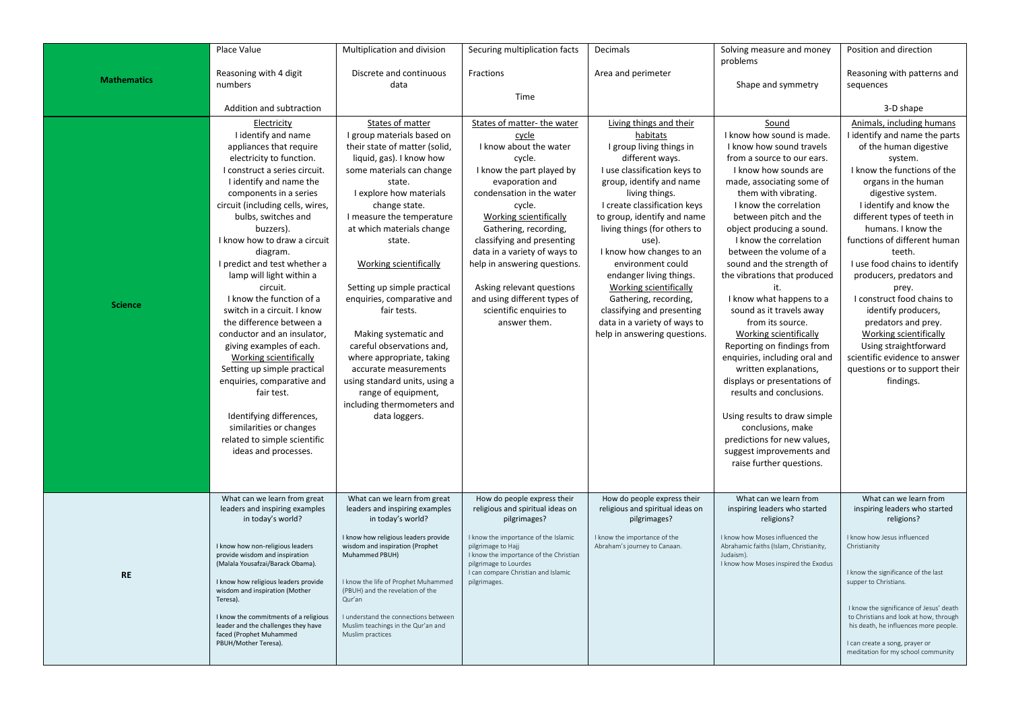|                    | Place Value                                                        |                                                        |                                                              | Decimals                                         |                                                     | Position and direction                                       |
|--------------------|--------------------------------------------------------------------|--------------------------------------------------------|--------------------------------------------------------------|--------------------------------------------------|-----------------------------------------------------|--------------------------------------------------------------|
|                    |                                                                    | Multiplication and division                            | Securing multiplication facts                                |                                                  | Solving measure and money<br>problems               |                                                              |
|                    | Reasoning with 4 digit                                             | Discrete and continuous                                | Fractions                                                    | Area and perimeter                               |                                                     | Reasoning with patterns and                                  |
| <b>Mathematics</b> | numbers                                                            | data                                                   |                                                              |                                                  | Shape and symmetry                                  | sequences                                                    |
|                    |                                                                    |                                                        | Time                                                         |                                                  |                                                     |                                                              |
|                    | Addition and subtraction                                           |                                                        |                                                              |                                                  |                                                     | 3-D shape                                                    |
|                    | Electricity                                                        | States of matter                                       | States of matter- the water                                  | Living things and their                          | Sound                                               | Animals, including humans                                    |
|                    | I identify and name                                                | I group materials based on                             | cycle                                                        | habitats                                         | I know how sound is made.                           | I identify and name the parts                                |
|                    | appliances that require                                            | their state of matter (solid,                          | I know about the water                                       | I group living things in                         | I know how sound travels                            | of the human digestive                                       |
|                    | electricity to function.                                           | liquid, gas). I know how                               | cycle.                                                       | different ways.                                  | from a source to our ears.                          | system.                                                      |
|                    | I construct a series circuit.                                      | some materials can change                              | I know the part played by                                    | I use classification keys to                     | I know how sounds are                               | I know the functions of the                                  |
|                    | I identify and name the                                            | state.                                                 | evaporation and                                              | group, identify and name                         | made, associating some of                           | organs in the human                                          |
|                    | components in a series                                             | I explore how materials                                | condensation in the water                                    | living things.                                   | them with vibrating.                                | digestive system.                                            |
|                    | circuit (including cells, wires,                                   | change state.                                          | cycle.                                                       | I create classification keys                     | I know the correlation                              | I identify and know the                                      |
|                    | bulbs, switches and                                                | I measure the temperature                              | Working scientifically                                       | to group, identify and name                      | between pitch and the                               | different types of teeth in                                  |
|                    | buzzers).                                                          | at which materials change                              | Gathering, recording,                                        | living things (for others to                     | object producing a sound.                           | humans. I know the                                           |
|                    | I know how to draw a circuit                                       | state.                                                 | classifying and presenting                                   | use).                                            | I know the correlation                              | functions of different human                                 |
|                    | diagram.                                                           |                                                        | data in a variety of ways to                                 | I know how changes to an                         | between the volume of a                             | teeth.                                                       |
|                    | I predict and test whether a                                       | Working scientifically                                 | help in answering questions.                                 | environment could                                | sound and the strength of                           | I use food chains to identify                                |
|                    | lamp will light within a                                           |                                                        |                                                              | endanger living things.                          | the vibrations that produced                        | producers, predators and                                     |
|                    | circuit.                                                           | Setting up simple practical                            | Asking relevant questions                                    | Working scientifically                           |                                                     | prey.                                                        |
| <b>Science</b>     | I know the function of a                                           | enquiries, comparative and                             | and using different types of                                 | Gathering, recording,                            | I know what happens to a                            | I construct food chains to                                   |
|                    | switch in a circuit. I know                                        | fair tests.                                            | scientific enquiries to                                      | classifying and presenting                       | sound as it travels away                            | identify producers,                                          |
|                    | the difference between a                                           |                                                        | answer them.                                                 | data in a variety of ways to                     | from its source.                                    | predators and prey.                                          |
|                    | conductor and an insulator,                                        | Making systematic and                                  |                                                              | help in answering questions.                     | Working scientifically                              | Working scientifically                                       |
|                    | giving examples of each.                                           | careful observations and,                              |                                                              |                                                  | Reporting on findings from                          | Using straightforward                                        |
|                    | Working scientifically                                             | where appropriate, taking                              |                                                              |                                                  | enquiries, including oral and                       | scientific evidence to answer                                |
|                    | Setting up simple practical                                        | accurate measurements                                  |                                                              |                                                  | written explanations,                               | questions or to support their                                |
|                    | enquiries, comparative and                                         | using standard units, using a                          |                                                              |                                                  | displays or presentations of                        | findings.                                                    |
|                    | fair test.                                                         | range of equipment,<br>including thermometers and      |                                                              |                                                  | results and conclusions.                            |                                                              |
|                    | Identifying differences,                                           | data loggers.                                          |                                                              |                                                  | Using results to draw simple                        |                                                              |
|                    | similarities or changes                                            |                                                        |                                                              |                                                  | conclusions, make                                   |                                                              |
|                    | related to simple scientific                                       |                                                        |                                                              |                                                  | predictions for new values,                         |                                                              |
|                    | ideas and processes.                                               |                                                        |                                                              |                                                  | suggest improvements and                            |                                                              |
|                    |                                                                    |                                                        |                                                              |                                                  | raise further questions.                            |                                                              |
|                    |                                                                    |                                                        |                                                              |                                                  |                                                     |                                                              |
|                    |                                                                    |                                                        |                                                              |                                                  |                                                     |                                                              |
|                    | What can we learn from great                                       | What can we learn from great                           | How do people express their                                  | How do people express their                      | What can we learn from                              | What can we learn from                                       |
|                    | leaders and inspiring examples<br>in today's world?                | leaders and inspiring examples<br>in today's world?    | religious and spiritual ideas on<br>pilgrimages?             | religious and spiritual ideas on<br>pilgrimages? | inspiring leaders who started<br>religions?         | inspiring leaders who started<br>religions?                  |
|                    |                                                                    |                                                        |                                                              |                                                  |                                                     |                                                              |
|                    |                                                                    | I know how religious leaders provide                   | I know the importance of the Islamic                         | I know the importance of the                     | I know how Moses influenced the                     | I know how Jesus influenced                                  |
|                    | I know how non-religious leaders<br>provide wisdom and inspiration | wisdom and inspiration (Prophet<br>Muhammed PBUH)      | pilgrimage to Hajj<br>I know the importance of the Christian | Abraham's journey to Canaan.                     | Abrahamic faiths (Islam, Christianity,<br>Judaism). | Christianity                                                 |
|                    | (Malala Yousafzai/Barack Obama).                                   |                                                        | pilgrimage to Lourdes                                        |                                                  | I know how Moses inspired the Exodus                |                                                              |
| <b>RE</b>          | I know how religious leaders provide                               | I know the life of Prophet Muhammed                    | I can compare Christian and Islamic<br>pilgrimages.          |                                                  |                                                     | I know the significance of the last<br>supper to Christians. |
|                    | wisdom and inspiration (Mother                                     | (PBUH) and the revelation of the                       |                                                              |                                                  |                                                     |                                                              |
|                    | Teresa).                                                           | Qur'an                                                 |                                                              |                                                  |                                                     | I know the significance of Jesus' death                      |
|                    | I know the commitments of a religious                              | I understand the connections between                   |                                                              |                                                  |                                                     | to Christians and look at how, through                       |
|                    | leader and the challenges they have<br>faced (Prophet Muhammed     | Muslim teachings in the Qur'an and<br>Muslim practices |                                                              |                                                  |                                                     | his death, he influences more people.                        |
|                    | PBUH/Mother Teresa).                                               |                                                        |                                                              |                                                  |                                                     | I can create a song, prayer or                               |
|                    |                                                                    |                                                        |                                                              |                                                  |                                                     | meditation for my school community                           |
|                    |                                                                    |                                                        |                                                              |                                                  |                                                     |                                                              |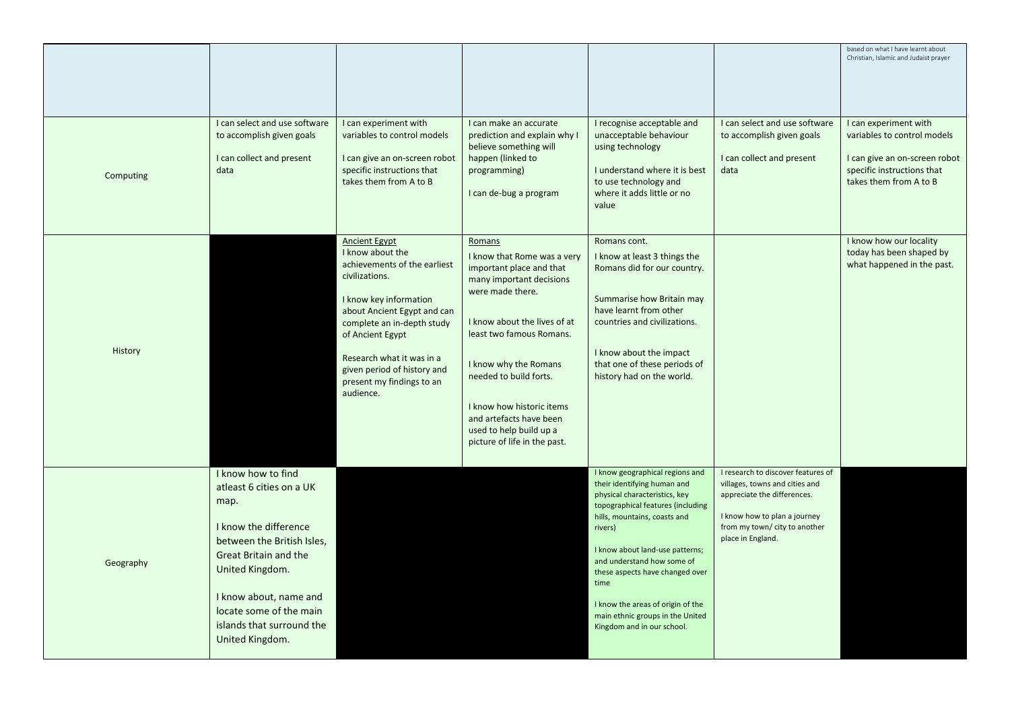|           |                                                                                                                                                                                                                                                                |                                                                                                                                                                                                                                                                                                      |                                                                                                                                                                                                                                                                                                                                                     |                                                                                                                                                                                                                                                                                                                                                                                                    |                                                                                                                                                                                          | based on what I have learnt about<br>Christian, Islamic and Judaist prayer                                                                    |
|-----------|----------------------------------------------------------------------------------------------------------------------------------------------------------------------------------------------------------------------------------------------------------------|------------------------------------------------------------------------------------------------------------------------------------------------------------------------------------------------------------------------------------------------------------------------------------------------------|-----------------------------------------------------------------------------------------------------------------------------------------------------------------------------------------------------------------------------------------------------------------------------------------------------------------------------------------------------|----------------------------------------------------------------------------------------------------------------------------------------------------------------------------------------------------------------------------------------------------------------------------------------------------------------------------------------------------------------------------------------------------|------------------------------------------------------------------------------------------------------------------------------------------------------------------------------------------|-----------------------------------------------------------------------------------------------------------------------------------------------|
| Computing | I can select and use software<br>to accomplish given goals<br>I can collect and present<br>data                                                                                                                                                                | I can experiment with<br>variables to control models<br>I can give an on-screen robot<br>specific instructions that<br>takes them from A to B                                                                                                                                                        | I can make an accurate<br>prediction and explain why I<br>believe something will<br>happen (linked to<br>programming)<br>I can de-bug a program                                                                                                                                                                                                     | I recognise acceptable and<br>unacceptable behaviour<br>using technology<br>I understand where it is best<br>to use technology and<br>where it adds little or no<br>value                                                                                                                                                                                                                          | I can select and use software<br>to accomplish given goals<br>I can collect and present<br>data                                                                                          | I can experiment with<br>variables to control models<br>I can give an on-screen robot<br>specific instructions that<br>takes them from A to B |
| History   |                                                                                                                                                                                                                                                                | Ancient Egypt<br>I know about the<br>achievements of the earliest<br>civilizations.<br>I know key information<br>about Ancient Egypt and can<br>complete an in-depth study<br>of Ancient Egypt<br>Research what it was in a<br>given period of history and<br>present my findings to an<br>audience. | Romans<br>I know that Rome was a very<br>important place and that<br>many important decisions<br>were made there.<br>I know about the lives of at<br>least two famous Romans.<br>I know why the Romans<br>needed to build forts.<br>I know how historic items<br>and artefacts have been<br>used to help build up a<br>picture of life in the past. | Romans cont.<br>I know at least 3 things the<br>Romans did for our country.<br>Summarise how Britain may<br>have learnt from other<br>countries and civilizations.<br>I know about the impact<br>that one of these periods of<br>history had on the world.                                                                                                                                         |                                                                                                                                                                                          | I know how our locality<br>today has been shaped by<br>what happened in the past.                                                             |
| Geography | I know how to find<br>atleast 6 cities on a UK<br>map.<br>I know the difference<br>between the British Isles,<br>Great Britain and the<br>United Kingdom.<br>I know about, name and<br>locate some of the main<br>islands that surround the<br>United Kingdom. |                                                                                                                                                                                                                                                                                                      |                                                                                                                                                                                                                                                                                                                                                     | I know geographical regions and<br>their identifying human and<br>physical characteristics, key<br>topographical features (including<br>hills, mountains, coasts and<br>rivers)<br>I know about land-use patterns;<br>and understand how some of<br>these aspects have changed over<br>time<br>I know the areas of origin of the<br>main ethnic groups in the United<br>Kingdom and in our school. | I research to discover features of<br>villages, towns and cities and<br>appreciate the differences.<br>I know how to plan a journey<br>from my town/city to another<br>place in England. |                                                                                                                                               |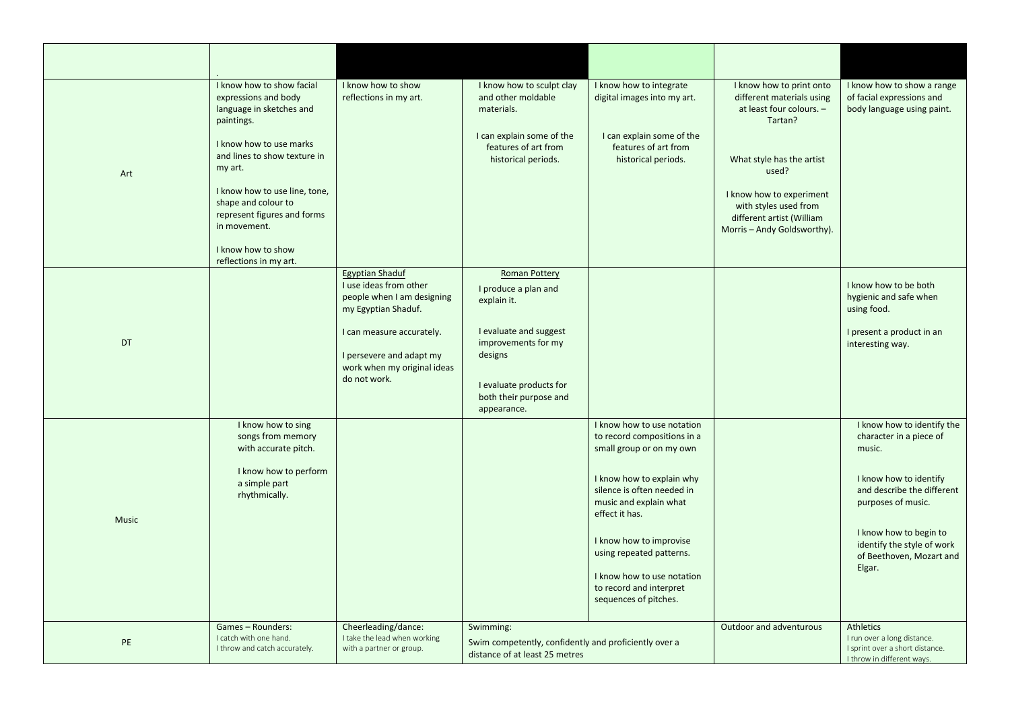| Art          | I know how to show facial<br>expressions and body<br>language in sketches and<br>paintings.<br>I know how to use marks<br>and lines to show texture in<br>my art.<br>I know how to use line, tone,<br>shape and colour to<br>represent figures and forms<br>in movement.<br>I know how to show<br>reflections in my art. | I know how to show<br>reflections in my art.                                                                                                                                                                  | I know how to sculpt clay<br>and other moldable<br>materials.<br>I can explain some of the<br>features of art from<br>historical periods.                                            | I know how to integrate<br>digital images into my art.<br>I can explain some of the<br>features of art from<br>historical periods.                                                                                                                                                                                                    | I know how to print onto<br>different materials using<br>at least four colours. -<br>Tartan?<br>What style has the artist<br>used?<br>I know how to experiment<br>with styles used from<br>different artist (William<br>Morris - Andy Goldsworthy). | I know how to show a range<br>of facial expressions and<br>body language using paint.                                                                                                                                                       |
|--------------|--------------------------------------------------------------------------------------------------------------------------------------------------------------------------------------------------------------------------------------------------------------------------------------------------------------------------|---------------------------------------------------------------------------------------------------------------------------------------------------------------------------------------------------------------|--------------------------------------------------------------------------------------------------------------------------------------------------------------------------------------|---------------------------------------------------------------------------------------------------------------------------------------------------------------------------------------------------------------------------------------------------------------------------------------------------------------------------------------|-----------------------------------------------------------------------------------------------------------------------------------------------------------------------------------------------------------------------------------------------------|---------------------------------------------------------------------------------------------------------------------------------------------------------------------------------------------------------------------------------------------|
| DT           |                                                                                                                                                                                                                                                                                                                          | <b>Egyptian Shaduf</b><br>I use ideas from other<br>people when I am designing<br>my Egyptian Shaduf.<br>I can measure accurately.<br>I persevere and adapt my<br>work when my original ideas<br>do not work. | Roman Pottery<br>I produce a plan and<br>explain it.<br>I evaluate and suggest<br>improvements for my<br>designs<br>I evaluate products for<br>both their purpose and<br>appearance. |                                                                                                                                                                                                                                                                                                                                       |                                                                                                                                                                                                                                                     | I know how to be both<br>hygienic and safe when<br>using food.<br>I present a product in an<br>interesting way.                                                                                                                             |
| <b>Music</b> | I know how to sing<br>songs from memory<br>with accurate pitch.<br>I know how to perform<br>a simple part<br>rhythmically.                                                                                                                                                                                               |                                                                                                                                                                                                               |                                                                                                                                                                                      | I know how to use notation<br>to record compositions in a<br>small group or on my own<br>I know how to explain why<br>silence is often needed in<br>music and explain what<br>effect it has.<br>I know how to improvise<br>using repeated patterns.<br>I know how to use notation<br>to record and interpret<br>sequences of pitches. |                                                                                                                                                                                                                                                     | I know how to identify the<br>character in a piece of<br>music.<br>I know how to identify<br>and describe the different<br>purposes of music.<br>I know how to begin to<br>identify the style of work<br>of Beethoven, Mozart and<br>Elgar. |
| PE           | Games-Rounders:<br>I catch with one hand.<br>I throw and catch accurately.                                                                                                                                                                                                                                               | Cheerleading/dance:<br>I take the lead when working<br>with a partner or group.                                                                                                                               | Swimming:<br>Swim competently, confidently and proficiently over a<br>distance of at least 25 metres                                                                                 |                                                                                                                                                                                                                                                                                                                                       | Outdoor and adventurous                                                                                                                                                                                                                             | Athletics<br>I run over a long distance.<br>I sprint over a short distance.<br>I throw in different ways.                                                                                                                                   |